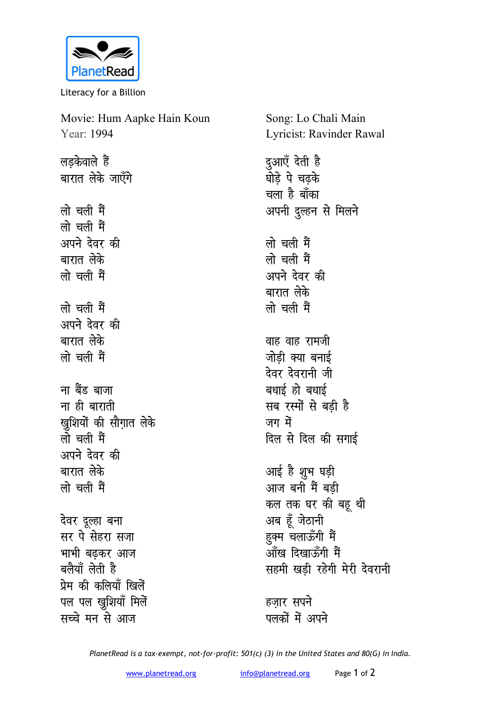

Literacy for a Billion

Movie: Hum Aapke Hain Koun Year: 1994

लडकेवाले हैं बारात लेके जाएँगे लो चली मैं लो चली मैं अपने देवर की बारात लेके लो चली मैं लो चली मैं अपने देवर की बारात लेके लो चली मैं ना बैंड बाजा ना ही बाराती खुशियों की सौगात लेके लो चली मैं अपने देवर की बारात लेके लो चली मैं देवर दुल्हा बना सर पे सेहरा सजा भाभी बढकर आज बलैयाँ लेती है प्रेम की कलियाँ खिलें पल पल खुशियाँ मिलें सच्चे मन से आज

Song: Lo Chali Main Lyricist: Ravinder Rawal दुआएँ देती है घोड़े पे चढ़के चला है बाँका अपनी दुल्हन से मिलने लो चली मैं लो चली मैं अपने देवर की बारात लेके लो चली मैं वाह वाह रामजी जोडी क्या बनाई देवर देवरानी जी बधाई हो बधाई सब रस्मों से बडी है जग में दिल से दिल की सगाई आई है शुभ घड़ी आज बनी मैं बडी कल तक घर की बहू थी अब हूँ जेठानी हुक्म चलाऊँगी मैं ्<br>ऑख दिखाऊँगी मैं सहमी खडी रहेगी मेरी देवरानी हजार सपने पलकों में अपने

PlanetRead is a tax-exempt, not-for-profit: 501(c) (3) in the United States and 80(G) in India.